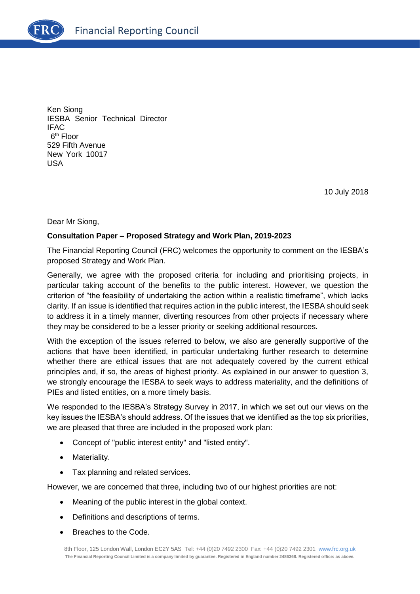

Ken Siong IESBA Senior Technical Director IFAC 6<sup>th</sup> Floor 529 Fifth Avenue New York 10017 USA

10 July 2018

Dear Mr Siong,

### **Consultation Paper – Proposed Strategy and Work Plan, 2019-2023**

The Financial Reporting Council (FRC) welcomes the opportunity to comment on the IESBA's proposed Strategy and Work Plan.

Generally, we agree with the proposed criteria for including and prioritising projects, in particular taking account of the benefits to the public interest. However, we question the criterion of "the feasibility of undertaking the action within a realistic timeframe", which lacks clarity. If an issue is identified that requires action in the public interest, the IESBA should seek to address it in a timely manner, diverting resources from other projects if necessary where they may be considered to be a lesser priority or seeking additional resources.

With the exception of the issues referred to below, we also are generally supportive of the actions that have been identified, in particular undertaking further research to determine whether there are ethical issues that are not adequately covered by the current ethical principles and, if so, the areas of highest priority. As explained in our answer to question 3, we strongly encourage the IESBA to seek ways to address materiality, and the definitions of PIEs and listed entities, on a more timely basis.

We responded to the IESBA's Strategy Survey in 2017, in which we set out our views on the key issues the IESBA's should address. Of the issues that we identified as the top six priorities, we are pleased that three are included in the proposed work plan:

- Concept of "public interest entity" and "listed entity".
- Materiality.
- Tax planning and related services.

However, we are concerned that three, including two of our highest priorities are not:

- Meaning of the public interest in the global context.
- Definitions and descriptions of terms.
- Breaches to the Code.

8th Floor, 125 London Wall, London EC2Y 5AS Tel: +44 (0)20 7492 2300 Fax: +44 (0)20 7492 2301 [www.frc.org.uk](http://www.frc.org.uk/) **The Financial Reporting Council Limited is a company limited by guarantee. Registered in England number 2486368. Registered office: as above.**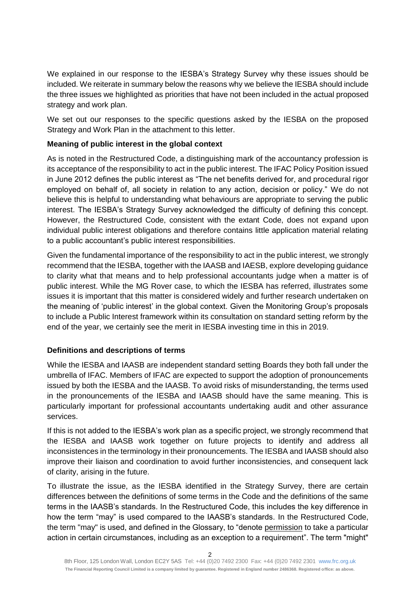We explained in our response to the IESBA's Strategy Survey why these issues should be included. We reiterate in summary below the reasons why we believe the IESBA should include the three issues we highlighted as priorities that have not been included in the actual proposed strategy and work plan.

We set out our responses to the specific questions asked by the IESBA on the proposed Strategy and Work Plan in the attachment to this letter.

## **Meaning of public interest in the global context**

As is noted in the Restructured Code, a distinguishing mark of the accountancy profession is its acceptance of the responsibility to act in the public interest. The IFAC Policy Position issued in June 2012 defines the public interest as "The net benefits derived for, and procedural rigor employed on behalf of, all society in relation to any action, decision or policy." We do not believe this is helpful to understanding what behaviours are appropriate to serving the public interest. The IESBA's Strategy Survey acknowledged the difficulty of defining this concept. However, the Restructured Code, consistent with the extant Code, does not expand upon individual public interest obligations and therefore contains little application material relating to a public accountant's public interest responsibilities.

Given the fundamental importance of the responsibility to act in the public interest, we strongly recommend that the IESBA, together with the IAASB and IAESB, explore developing guidance to clarity what that means and to help professional accountants judge when a matter is of public interest. While the MG Rover case, to which the IESBA has referred, illustrates some issues it is important that this matter is considered widely and further research undertaken on the meaning of 'public interest' in the global context. Given the Monitoring Group's proposals to include a Public Interest framework within its consultation on standard setting reform by the end of the year, we certainly see the merit in IESBA investing time in this in 2019.

# **Definitions and descriptions of terms**

While the IESBA and IAASB are independent standard setting Boards they both fall under the umbrella of IFAC. Members of IFAC are expected to support the adoption of pronouncements issued by both the IESBA and the IAASB. To avoid risks of misunderstanding, the terms used in the pronouncements of the IESBA and IAASB should have the same meaning. This is particularly important for professional accountants undertaking audit and other assurance services.

If this is not added to the IESBA's work plan as a specific project, we strongly recommend that the IESBA and IAASB work together on future projects to identify and address all inconsistences in the terminology in their pronouncements. The IESBA and IAASB should also improve their liaison and coordination to avoid further inconsistencies, and consequent lack of clarity, arising in the future.

To illustrate the issue, as the IESBA identified in the Strategy Survey, there are certain differences between the definitions of some terms in the Code and the definitions of the same terms in the IAASB's standards. In the Restructured Code, this includes the key difference in how the term "may" is used compared to the IAASB's standards. In the Restructured Code, the term "may" is used, and defined in the Glossary, to "denote permission to take a particular action in certain circumstances, including as an exception to a requirement". The term "might"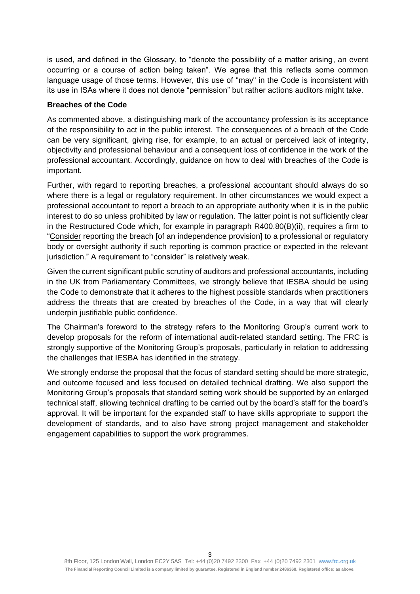is used, and defined in the Glossary, to "denote the possibility of a matter arising, an event occurring or a course of action being taken". We agree that this reflects some common language usage of those terms. However, this use of "may" in the Code is inconsistent with its use in ISAs where it does not denote "permission" but rather actions auditors might take.

#### **Breaches of the Code**

As commented above, a distinguishing mark of the accountancy profession is its acceptance of the responsibility to act in the public interest. The consequences of a breach of the Code can be very significant, giving rise, for example, to an actual or perceived lack of integrity, objectivity and professional behaviour and a consequent loss of confidence in the work of the professional accountant. Accordingly, guidance on how to deal with breaches of the Code is important.

Further, with regard to reporting breaches, a professional accountant should always do so where there is a legal or regulatory requirement. In other circumstances we would expect a professional accountant to report a breach to an appropriate authority when it is in the public interest to do so unless prohibited by law or regulation. The latter point is not sufficiently clear in the Restructured Code which, for example in paragraph R400.80(B)(ii), requires a firm to "Consider reporting the breach [of an independence provision] to a professional or regulatory body or oversight authority if such reporting is common practice or expected in the relevant jurisdiction." A requirement to "consider" is relatively weak.

Given the current significant public scrutiny of auditors and professional accountants, including in the UK from Parliamentary Committees, we strongly believe that IESBA should be using the Code to demonstrate that it adheres to the highest possible standards when practitioners address the threats that are created by breaches of the Code, in a way that will clearly underpin justifiable public confidence.

The Chairman's foreword to the strategy refers to the Monitoring Group's current work to develop proposals for the reform of international audit-related standard setting. The FRC is strongly supportive of the Monitoring Group's proposals, particularly in relation to addressing the challenges that IESBA has identified in the strategy.

We strongly endorse the proposal that the focus of standard setting should be more strategic, and outcome focused and less focused on detailed technical drafting. We also support the Monitoring Group's proposals that standard setting work should be supported by an enlarged technical staff, allowing technical drafting to be carried out by the board's staff for the board's approval. It will be important for the expanded staff to have skills appropriate to support the development of standards, and to also have strong project management and stakeholder engagement capabilities to support the work programmes.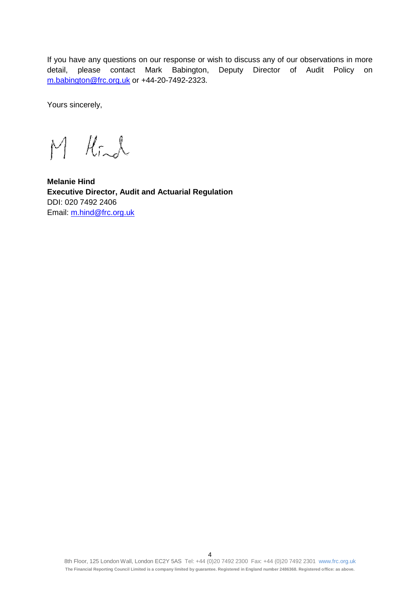If you have any questions on our response or wish to discuss any of our observations in more detail, please contact Mark Babington, Deputy Director of Audit Policy on [m.babington@frc.org.uk](mailto:m.babington@frc.org.uk) or +44-20-7492-2323.

Yours sincerely,

M Kind

**Melanie Hind Executive Director, Audit and Actuarial Regulation** DDI: 020 7492 2406 Email: [m.hind@frc.org.uk](mailto:m.hind@frc.org.uk)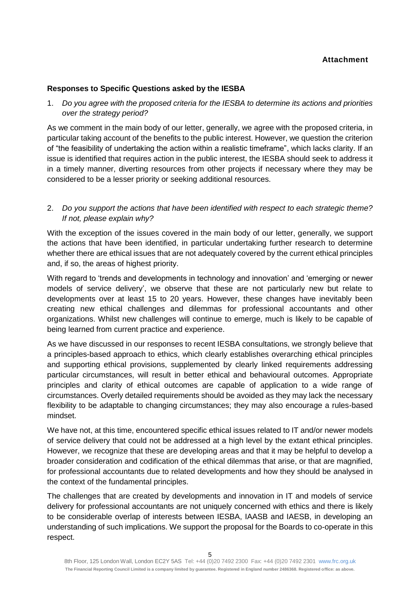### **Attachment**

### **Responses to Specific Questions asked by the IESBA**

1. *Do you agree with the proposed criteria for the IESBA to determine its actions and priorities over the strategy period?*

As we comment in the main body of our letter, generally, we agree with the proposed criteria, in particular taking account of the benefits to the public interest. However, we question the criterion of "the feasibility of undertaking the action within a realistic timeframe", which lacks clarity. If an issue is identified that requires action in the public interest, the IESBA should seek to address it in a timely manner, diverting resources from other projects if necessary where they may be considered to be a lesser priority or seeking additional resources.

# 2. *Do you support the actions that have been identified with respect to each strategic theme? If not, please explain why?*

With the exception of the issues covered in the main body of our letter, generally, we support the actions that have been identified, in particular undertaking further research to determine whether there are ethical issues that are not adequately covered by the current ethical principles and, if so, the areas of highest priority.

With regard to 'trends and developments in technology and innovation' and 'emerging or newer models of service delivery', we observe that these are not particularly new but relate to developments over at least 15 to 20 years. However, these changes have inevitably been creating new ethical challenges and dilemmas for professional accountants and other organizations. Whilst new challenges will continue to emerge, much is likely to be capable of being learned from current practice and experience.

As we have discussed in our responses to recent IESBA consultations, we strongly believe that a principles-based approach to ethics, which clearly establishes overarching ethical principles and supporting ethical provisions, supplemented by clearly linked requirements addressing particular circumstances, will result in better ethical and behavioural outcomes. Appropriate principles and clarity of ethical outcomes are capable of application to a wide range of circumstances. Overly detailed requirements should be avoided as they may lack the necessary flexibility to be adaptable to changing circumstances; they may also encourage a rules-based mindset.

We have not, at this time, encountered specific ethical issues related to IT and/or newer models of service delivery that could not be addressed at a high level by the extant ethical principles. However, we recognize that these are developing areas and that it may be helpful to develop a broader consideration and codification of the ethical dilemmas that arise, or that are magnified, for professional accountants due to related developments and how they should be analysed in the context of the fundamental principles.

The challenges that are created by developments and innovation in IT and models of service delivery for professional accountants are not uniquely concerned with ethics and there is likely to be considerable overlap of interests between IESBA, IAASB and IAESB, in developing an understanding of such implications. We support the proposal for the Boards to co-operate in this respect.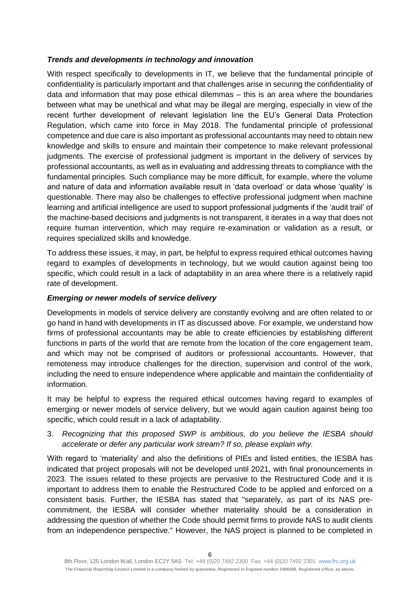## *Trends and developments in technology and innovation*

With respect specifically to developments in IT, we believe that the fundamental principle of confidentiality is particularly important and that challenges arise in securing the confidentiality of data and information that may pose ethical dilemmas – this is an area where the boundaries between what may be unethical and what may be illegal are merging, especially in view of the recent further development of relevant legislation line the EU's General Data Protection Regulation, which came into force in May 2018. The fundamental principle of professional competence and due care is also important as professional accountants may need to obtain new knowledge and skills to ensure and maintain their competence to make relevant professional judgments. The exercise of professional judgment is important in the delivery of services by professional accountants, as well as in evaluating and addressing threats to compliance with the fundamental principles. Such compliance may be more difficult, for example, where the volume and nature of data and information available result in 'data overload' or data whose 'quality' is questionable. There may also be challenges to effective professional judgment when machine learning and artificial intelligence are used to support professional judgments if the 'audit trail' of the machine-based decisions and judgments is not transparent, it iterates in a way that does not require human intervention, which may require re-examination or validation as a result, or requires specialized skills and knowledge.

To address these issues, it may, in part, be helpful to express required ethical outcomes having regard to examples of developments in technology, but we would caution against being too specific, which could result in a lack of adaptability in an area where there is a relatively rapid rate of development.

## *Emerging or newer models of service delivery*

Developments in models of service delivery are constantly evolving and are often related to or go hand in hand with developments in IT as discussed above. For example, we understand how firms of professional accountants may be able to create efficiencies by establishing different functions in parts of the world that are remote from the location of the core engagement team, and which may not be comprised of auditors or professional accountants. However, that remoteness may introduce challenges for the direction, supervision and control of the work, including the need to ensure independence where applicable and maintain the confidentiality of information.

It may be helpful to express the required ethical outcomes having regard to examples of emerging or newer models of service delivery, but we would again caution against being too specific, which could result in a lack of adaptability.

3. *Recognizing that this proposed SWP is ambitious, do you believe the IESBA should accelerate or defer any particular work stream? If so, please explain why.*

With regard to 'materiality' and also the definitions of PIEs and listed entities, the IESBA has indicated that project proposals will not be developed until 2021, with final pronouncements in 2023. The issues related to these projects are pervasive to the Restructured Code and it is important to address them to enable the Restructured Code to be applied and enforced on a consistent basis. Further, the IESBA has stated that "separately, as part of its NAS precommitment, the IESBA will consider whether materiality should be a consideration in addressing the question of whether the Code should permit firms to provide NAS to audit clients from an independence perspective." However, the NAS project is planned to be completed in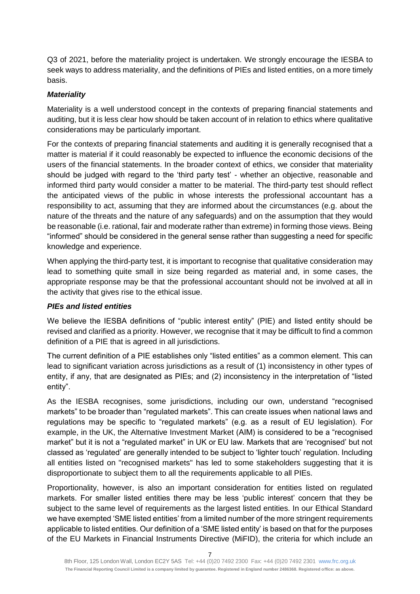Q3 of 2021, before the materiality project is undertaken. We strongly encourage the IESBA to seek ways to address materiality, and the definitions of PIEs and listed entities, on a more timely basis.

## *Materiality*

Materiality is a well understood concept in the contexts of preparing financial statements and auditing, but it is less clear how should be taken account of in relation to ethics where qualitative considerations may be particularly important.

For the contexts of preparing financial statements and auditing it is generally recognised that a matter is material if it could reasonably be expected to influence the economic decisions of the users of the financial statements. In the broader context of ethics, we consider that materiality should be judged with regard to the 'third party test' - whether an objective, reasonable and informed third party would consider a matter to be material. The third-party test should reflect the anticipated views of the public in whose interests the professional accountant has a responsibility to act, assuming that they are informed about the circumstances (e.g. about the nature of the threats and the nature of any safeguards) and on the assumption that they would be reasonable (i.e. rational, fair and moderate rather than extreme) in forming those views. Being "informed" should be considered in the general sense rather than suggesting a need for specific knowledge and experience.

When applying the third-party test, it is important to recognise that qualitative consideration may lead to something quite small in size being regarded as material and, in some cases, the appropriate response may be that the professional accountant should not be involved at all in the activity that gives rise to the ethical issue.

### *PIEs and listed entities*

We believe the IESBA definitions of "public interest entity" (PIE) and listed entity should be revised and clarified as a priority. However, we recognise that it may be difficult to find a common definition of a PIE that is agreed in all jurisdictions.

The current definition of a PIE establishes only "listed entities" as a common element. This can lead to significant variation across jurisdictions as a result of (1) inconsistency in other types of entity, if any, that are designated as PIEs; and (2) inconsistency in the interpretation of "listed entity".

As the IESBA recognises, some jurisdictions, including our own, understand "recognised markets" to be broader than "regulated markets". This can create issues when national laws and regulations may be specific to "regulated markets" (e.g. as a result of EU legislation). For example, in the UK, the Alternative Investment Market (AIM) is considered to be a "recognised market" but it is not a "regulated market" in UK or EU law. Markets that are 'recognised' but not classed as 'regulated' are generally intended to be subject to 'lighter touch' regulation. Including all entities listed on "recognised markets" has led to some stakeholders suggesting that it is disproportionate to subject them to all the requirements applicable to all PIEs.

Proportionality, however, is also an important consideration for entities listed on regulated markets. For smaller listed entities there may be less 'public interest' concern that they be subject to the same level of requirements as the largest listed entities. In our Ethical Standard we have exempted 'SME listed entities' from a limited number of the more stringent requirements applicable to listed entities. Our definition of a 'SME listed entity' is based on that for the purposes of the EU Markets in Financial Instruments Directive (MiFID), the criteria for which include an